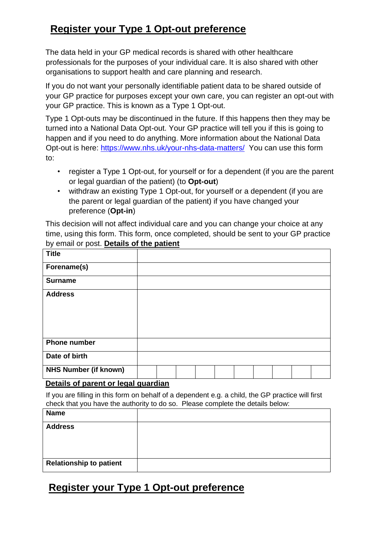# **Register your Type 1 Opt-out preference**

The data held in your GP medical records is shared with other healthcare professionals for the purposes of your individual care. It is also shared with other organisations to support health and care planning and research.

If you do not want your personally identifiable patient data to be shared outside of your GP practice for purposes except your own care, you can register an opt-out with your GP practice. This is known as a Type 1 Opt-out.

Type 1 Opt-outs may be discontinued in the future. If this happens then they may be turned into a National Data Opt-out. Your GP practice will tell you if this is going to happen and if you need to do anything. More information about the National Data Opt-out is here:<https://www.nhs.uk/your-nhs-data-matters/> You can use this form to:

- register a Type 1 Opt-out, for yourself or for a dependent (if you are the parent or legal guardian of the patient) (to **Opt-out**)
- withdraw an existing Type 1 Opt-out, for yourself or a dependent (if you are the parent or legal guardian of the patient) if you have changed your preference (**Opt-in**)

This decision will not affect individual care and you can change your choice at any time, using this form. This form, once completed, should be sent to your GP practice by email or post. **Details of the patient**

| <b>Title</b>                                 |  |  |  |  |  |  |  |  |  |
|----------------------------------------------|--|--|--|--|--|--|--|--|--|
| Forename(s)                                  |  |  |  |  |  |  |  |  |  |
| <b>Surname</b>                               |  |  |  |  |  |  |  |  |  |
| <b>Address</b>                               |  |  |  |  |  |  |  |  |  |
|                                              |  |  |  |  |  |  |  |  |  |
|                                              |  |  |  |  |  |  |  |  |  |
|                                              |  |  |  |  |  |  |  |  |  |
| <b>Phone number</b>                          |  |  |  |  |  |  |  |  |  |
| Date of birth                                |  |  |  |  |  |  |  |  |  |
| <b>NHS Number (if known)</b>                 |  |  |  |  |  |  |  |  |  |
| $-12$<br>Betally of moneyed and analysis and |  |  |  |  |  |  |  |  |  |

#### **Details of parent or legal guardian**

If you are filling in this form on behalf of a dependent e.g. a child, the GP practice will first check that you have the authority to do so. Please complete the details below:

| <b>Name</b>                    |  |
|--------------------------------|--|
| <b>Address</b>                 |  |
|                                |  |
|                                |  |
| <b>Relationship to patient</b> |  |

## **Register your Type 1 Opt-out preference**